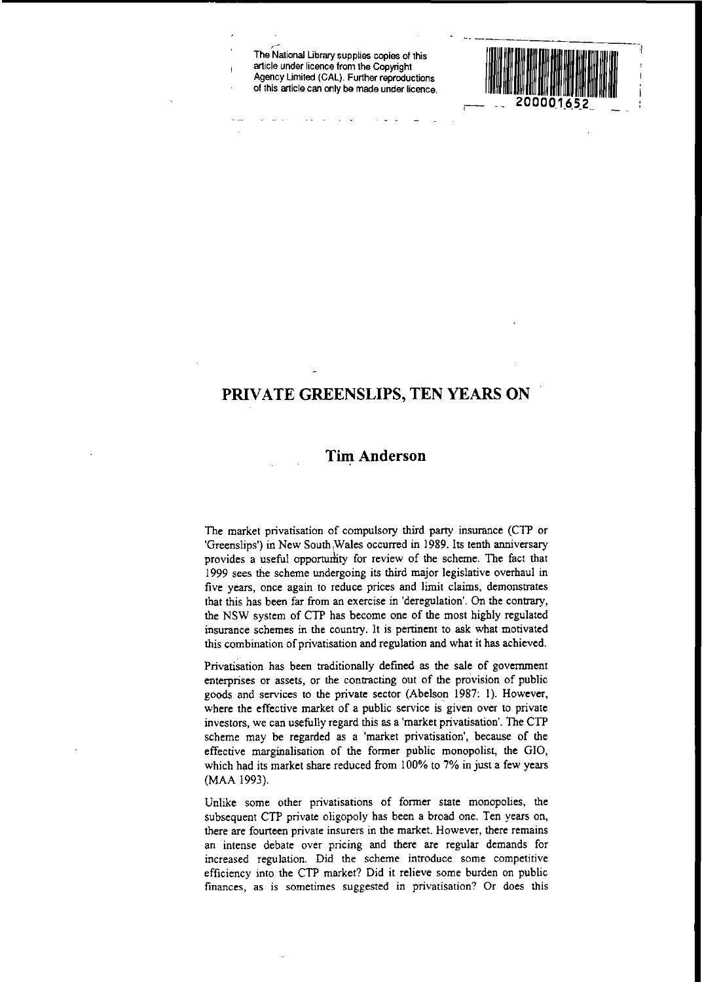r-**The National Ubrary supplies copies of this article under licence from the Copyright** Agency Umited (CAL). Further reproductions **of this article can only be made under licence.**



# **PRIVATE GREENSLIPS, TEN YEARS ON**

## **Tim Anderson**

The market privatisation of compulsory third party insurance (CTP or 'Greenslips') in New South ,Wales occurred in 1989. Its tenth anniversary provides a useful opportumity for review of the scheme. The fact that 1999 sees the scheme undergoing its third major legislative overhaul in **five years, once again to reduce prices and limit claims, demonstrates** that this has been far from an exercise in 'deregulation'. On the contrary, the NSW system of CTP has become one of the most highly regulated insurance schemes in the country. It is pertinent to ask what motivated this combination of privatisation and regulation and what it has achieved.

Privatisation has been traditionally defined as the sale of government **enterprises or assets, or the contracting out of the provision of public** goods and services to the private sector (Abelson 1987: I). However, where the effective market of a public service is given over to private investors, we can usefully regard this as a 'market privatisation'. The CTP scheme may be regarded as a 'market privatisation', because of the effective marginalisation of the former public monopolist, the GIO, which had its market share reduced from 100% to 7% in just a few years (MAA 1993).

Unlike some other privatisations of former state monopolies, the subsequent CTP private oligopoly has been a broad one. Ten years on, **there are fourteen private insurers in the market. However, there remains** an intense debate over pricing and there are regular demands for **increased regulation. Did the scheme introduce some competitive** efficiency into the CTP market? Did it relieve some burden on public **finances, as is sometimes suggested in privatisation? Or does this**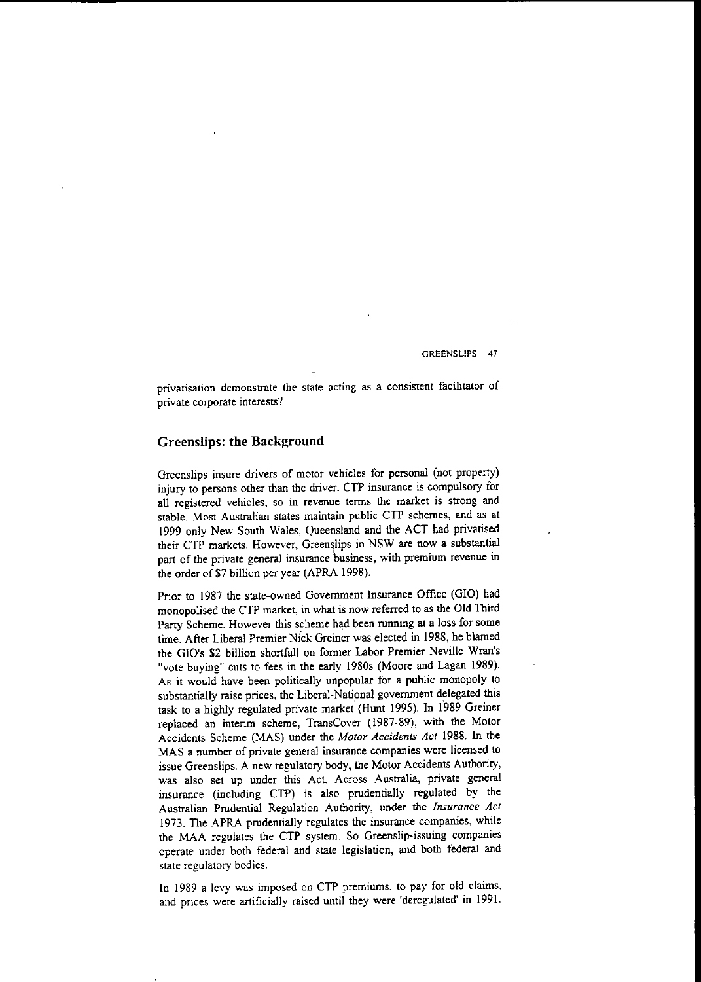**privatisation demonstrate the state acting as a consistent facilitatof of private corporate interests?**

## **Greenslips: the Background**

Greenslips insure drivers of motor vehicles for personal (not property) injury to persons other than the driver. CTP insurance is compulsory for **all registered vehicles, so in revenue terms the market is strong and** stable. Most Australian states maintain public CTP schemes, and as at 1999 only New South Wales, Queensland and the ACT had privatised their CTP markets. However, Greenslips in NSW are now a substantial part of the private general insurance business, with premium revenue in the order of \$7 billion per year (APRA 1998).

Prior to 1987 the state-owned Government Insurance Office (GIO) had monopolised the CTP market, in what is now referred to as the Old Third Party Scheme. However this scheme had been running at a loss for some time. After Liberal Premier Nick Greiner was elected in 1988, he blamed the GIO's \$2 billion shortfall on former Labor Premier Neville Wran's "vote buying" cuts to fees in the early 1980s (Moore and Lagan 1989). As it would have been politically unpopular for a public monopoly to substantially raise prices, the Liberal-National government delegated this task to a highly regulated private market (Hunt 1995). In 1989 Greiner replaced an interim scheme, TransCover (1987-89), with the Motor Accidents Scheme (MAS) under the *Motor Accidents Act* 1988. In the MAS a number of private general insurance companies were licensed to issue Greenslips. A new regulatory body, the Motor Accidents Authority, **was also set up under this Act. Across Australia, private general** insurance (including CTP) is also prudentially regulated by the Australian Prudential Regulation Authority, under the *Insurance Act* 1973. The APRA prudentially regulates the insurance companies, while the MAA regulates the CTP system. So Greenslip-issuing companies operate under both federal and state legislation, and both federal and state regulatory bodies.

In 1989 a levy was imposed on CTP premiums, to pay for old claims, and prices were artificially raised until they were 'deregulated' in 1991.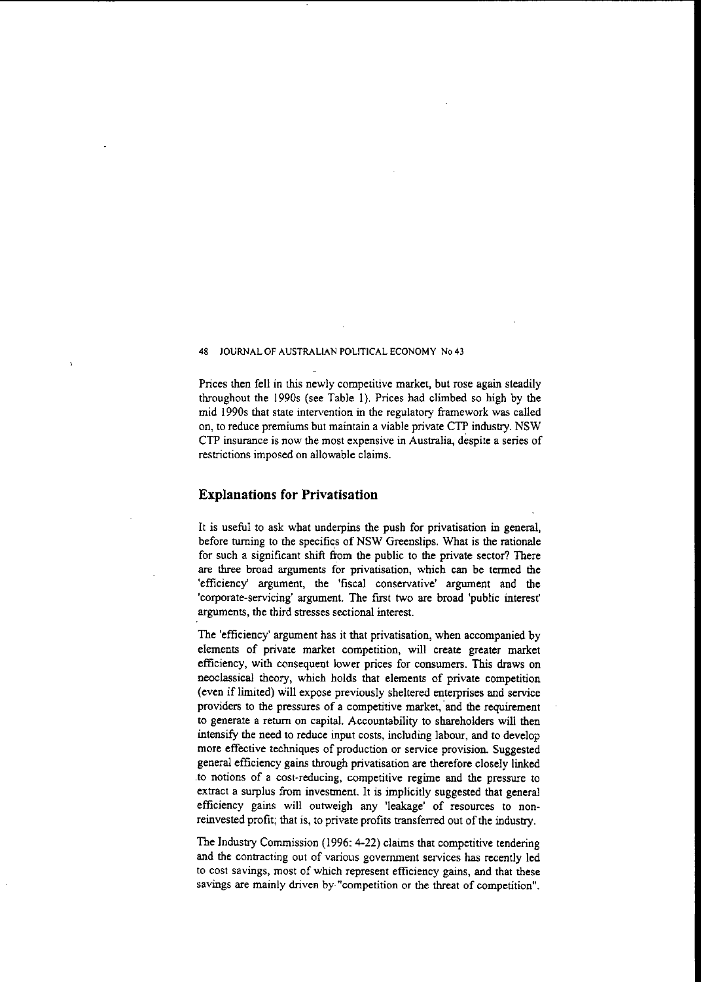Prices then fell in this newly competitive market, but rose again steadily throughout the 1990s (see Table I). Prices had climbed so high by the mid 1990s that state intervention in the regulatory framework was called on, to reduce premiums but maintain a viable private CTP industry. NSW **CTP insurance is now the most expensive in Australia, despite a series of** restrictions imposed on allowable claims.

## **Explanations for Privatisation**

It is useful to ask what underpins the push for privatisation in general, before turning to the specifics of NSW Greenslips. What is the rationale for such a significant shift from the public to the private sector? There are three broad arguments for privatisation, which can be termed the **'efficiency' argument, the 'fiscal conservative' argument and the** 'corporate-servicing' argument. The first two are broad 'public interest' arguments, the third stresses sectional interest.

The 'efficiency' argument has it that privatisation, when accompanied by elements of private market competition, will create greater market efficiency, with consequent lower prices for consumers. This draws on neoclassical theory, which holds that elements of private competition (even if limited) will expose previously sheltered enterprises and service providers to the pressures of a competitive market, and the requirement to generate a return on capital. Accountability to shareholders will then intensify the need to reduce input costs, including labour, and to develop more effective techniques of production or service provision. Suggested general efficiency gains through privatisation are therefore closely linked **.to notions of a cost·reducing, competitive regime and the pressure to** extract a surplus from investment. It is implicitly suggested that general efficiency gains will outweigh any 'leakage' of resources to nonreinvested profit; that is, to private profits transferred out of the industry.

The Industry Commission (1996: 4-22) claims that competitive tendering and the contracting out of various government services has recently led **to cost savings, most of which represent efficiency gains, and that these savings are mainly driven by- "competition or the threat of competition".**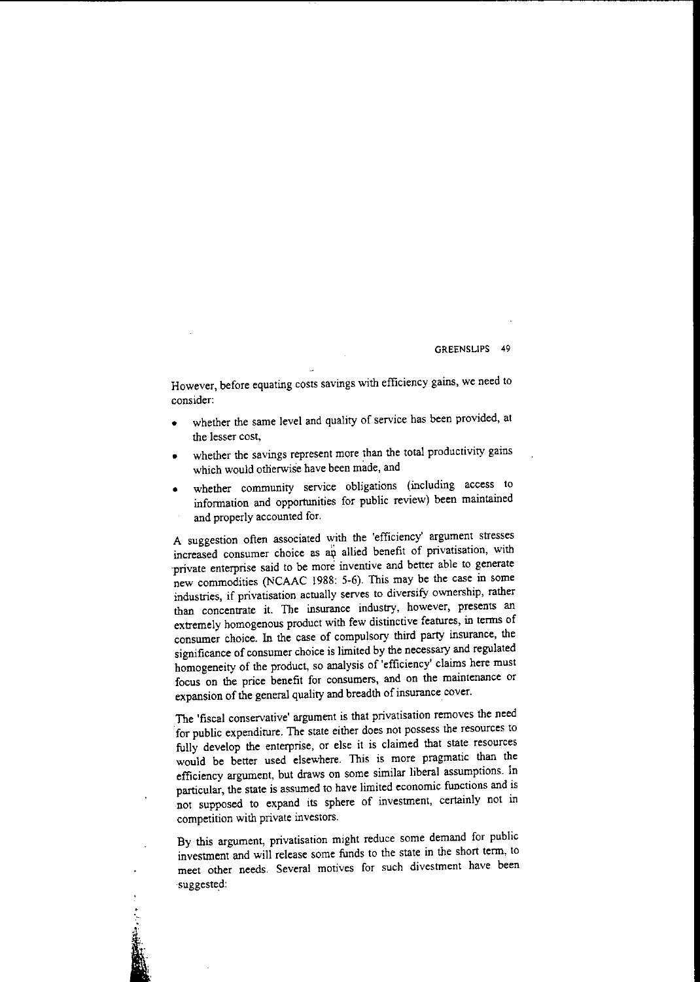GREENSLlPS 49

However, before equating costs savings with efficiency gains, we need to **consider:**

- whether the same level and quality of service has been provided, at the lesser cost,
- whether the savings represent more than the total productivity gains which would otherwise have been made, and
- whether community service obligations (including access to information and opportunities for public review) been maintained and properly accounted for.

A suggestion often associated with the 'efficiency' argument stresses **increased consumer choice as allied benefit of privatisation, with 'private enterprise said to be more inventive and better able to generate** new commodities (NCAAC 1988: 5-6). This may be the case in some **industries, if privatisation actually serves to diversify ownership, rather than concentrate it. The insurance industry, however, presents an** extremely homogenous product with few distinctive features, in terms of consumer choice. In the case of compulsory third party insurance, the significance of consumer choice is limited by the necessary and regulated homogeneity of the product, so analysis of 'efficiency' claims here must **focus on the price benefit for consumers, and on the maintenance or** expansion of the general quality and breadth of insurance cover.

The 'fiscal conservative' argument is that privatisation removes the need for public expenditure. The state either does not possess the resources to fully develop the enterprise, or else it is claimed that state resources would be better used elsewhere. This is more pragmatic than the efficiency argument, but draws on some similar liberal assumptions. In **particular, the state is assumed to have limited economic functions and is** not supposed to expand its sphere of investment, certainly not in competition with private investors.

By this argument, privatisation might reduce some demand for public investment and will release some funds to the state in the shon term, to **meet other needs. Several motives for such divestment have been** suggested: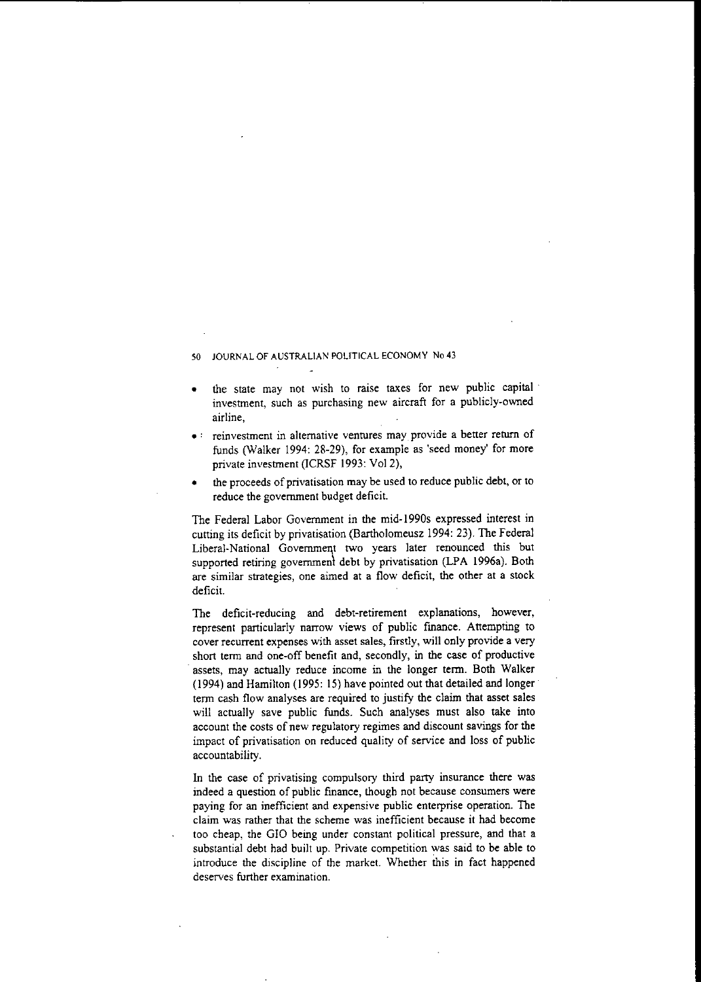- the state may not wish to raise taxes for new public capital **investment, such as purchasing new aircraft for a publicly-owned airline,**
- .: **reinvestment in alternative ventures may, provide <sup>a</sup> better return of** funds (Walker 1994: 28-29), for example as 'seed money' for more private investment (ICRSF 1993: Vo12),
- the proceeds of privatisation may be used to reduce public debt, or to reduce the government budget deficit.

The Federal Labor Government in the mid-1990s expressed interest in cutting its deficit by privatisation (Bartholomeusz 1994: 23). The Federal Liberal-National Government two years later renounced this but supported retiring government debt by privatisation (LPA 1996a). Both **are similar strategies, one aimed at a flow deficit, the other at a stock** deficit.

The deficit-reducing and debt-retirement explanations, however, represent particularly narrow views of public fmance. Attempting to **cover recurrent expenses with asset sales, firstly, will only provide a very** short term and one-off benefit and, secondly, in the case of productive assets, may actually reduce income in the longer term. Both Walker (1994) and Hamilton (1995: IS) have pointed out that detailed and longer term cash flow analyses are required to justify the claim that asset sales will actually save public funds. Such analyses must also take into account the costs of new regulatory regimes and discount savings for the impact of privatisation on reduced quality of service and loss of public accountability.

In the case of privatising compulsory third party insurance there was indeed a question of public finance, though not because consumers were paying for an inefficient and expensive public enterprise operation. The **claim was rather that the scheme was inefficient because it had become** too cheap, the GIO being under constant political pressure, and that a substantial debt had built up. Private competition was said to be able to introduce the discipline of the market. Whether this in fact happened **deserves further examination.**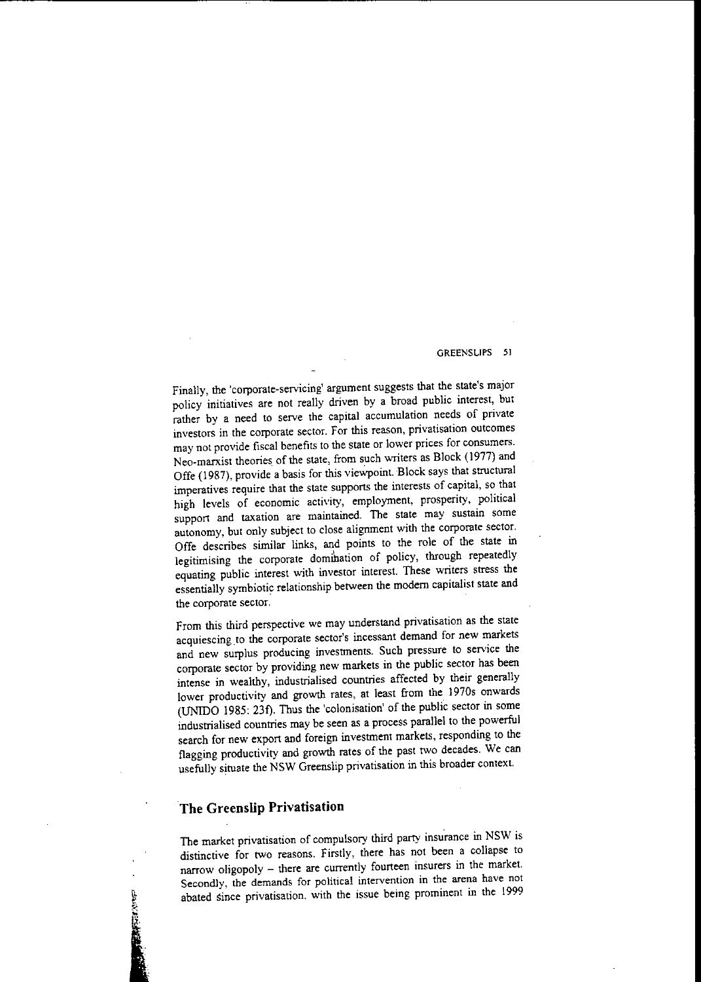### GREENSLlPS 51

Finally, the 'corporate-servicing' argument suggests that the state's major policy initiatives are not really driven by a broad public interest, but rather by a need to serve the capital accumulation needs of private **investors in the corporate sector. For this reason, privatisation outcomes may not provide fiscal benefits to the state or lower prices for consumers.** Neo-marxist theories of the state, from such writers as Block (1977) and Offe (1987), provide a basis for this viewpoint. Block says that structural imperatives require that the state supports the interests of capital, so that high levels of economic activity, employment, prosperity, political **support and taxation are maintained. The state may sustain some** autonomy, but only subject to close alignment with the corporate sector. Offe describes similar links, and points to the role of the state in legitimising the corporate domihation of policy, through repeatedly equating public interest with investor interest. These writers stress the essentially symbiotic relationship between the modem capitalist state and **the corporate sector.**

From this third perspective we may understand privatisation as the state acquiescing to the corporate sector's incessant demand for new markets and new surplus producing investments. Such pressure to service the corporate sector by providing new markets in the public sector has been intense in wealthy, industrialised countries affected by their generally lower productivity and growth rates, at least from the 1970s onwards (UNIDO 1985: 23f). Thus the 'colonisation' of the public sector in some industrialised countries may be seen as a process parallel to the powerful search for new export and foreign investment markets, responding to the flagging productivity and growth rates of the past two decades. We can usefully situate the NSW Greenslip privatisation in this broader context.

# **The Greenslip Privatisation**

1... i

The market privatisation of compulsory third party insurance in NSW is distinctive for two reasons. Firstly, there has not been a collapse to narrow oligopoly - there are currently fourteen insurers in the market. **Secondly, the demands for political intervention in the arena have not abated since privatisation. with the issue being prominent in the 1999**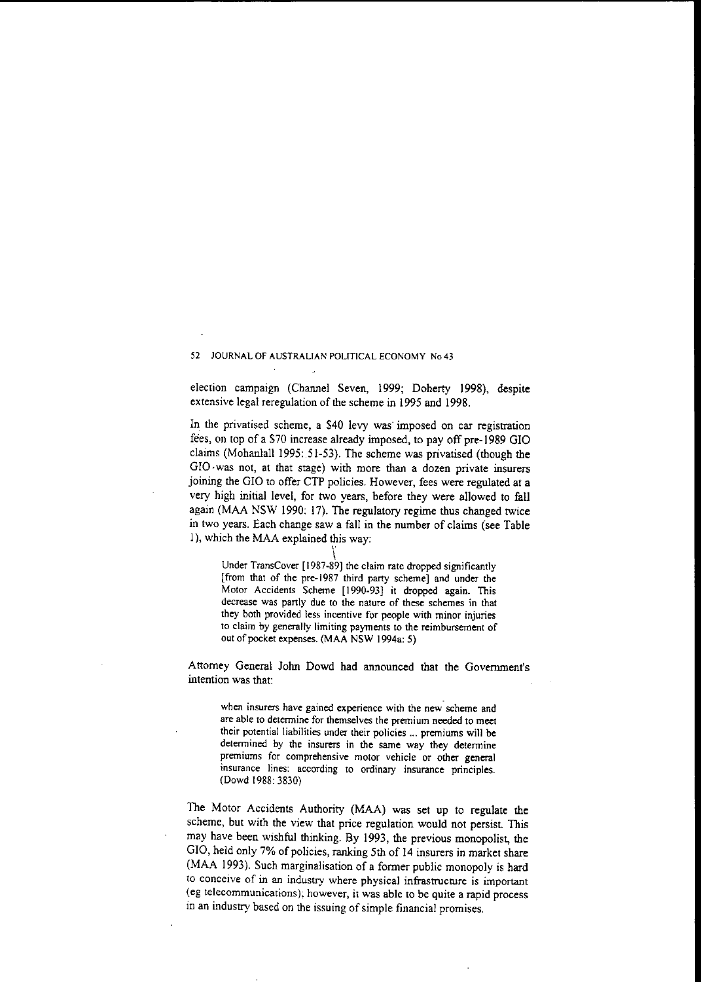election campaign (Channel Seven, 1999; Doherty 1998), despite extensive legal reregulation of the scheme in 1995 and 1998.

In the privatised scheme, a \$40 levy was imposed on car registration fees, on top of a \$70 increase already imposed, to payoff pre-1989 GIO claims (Mohanlall 1995: 51-53). The scheme was privatised (though the GIO·was not, at that stage) with more than a dozen private insurers joining the GIO to offer CTP policies. However, fees were regulated at a very high initial level, for two years, before they were allowed to fall again (MAA NSW 1990: 17). The regulatory regime thus changed twice in two years. Each change saw a fall in the number of claims (see Table I), which the MAA explained this way:

Under TransCover [1987-89] the claim rate dropped significantly [from that of the pre-1987 third party scheme] and under the Motor Accidents Scheme [1990-93] it dropped again. This **decrease was panly due to the nature of these schemes in that they both provided less incentive for people with minor injuries to claim by generally limiting payments to the reimbursement of** oul of pocket expenses. (MAA NSW 1994a: 5)

Attorney General John Dowd had announced that the Government's **intention was that:**

**when insurers have gained experience with the new scheme and are able to determine for themselves the premium needed to meet their potential liabilities under their policies ... premiums will be detennined by the insurers in the same way they detennine premiums for comprehensive motor vehicle or other general insurance lines: according to ordinary insurance principles.** (Dowd 1988: 3830)

The Motor Accidents Authority (MAA) was set up to regulate the scheme, but with the view that price regulation would not persist. This may have been wishful thinking. By 1993, the previous monopolisl, the GIO, held only 7% of policies, ranking 5th of 14 insurers in market share (MAA 1993). Such marginalisation of a former public monopoly is hard **to conceive of in an industry where physical infrastrucnlTe is important (eg telecommunications); however, it was able to be quite a rapid process** in an industry based on the issuing of simple financial promises.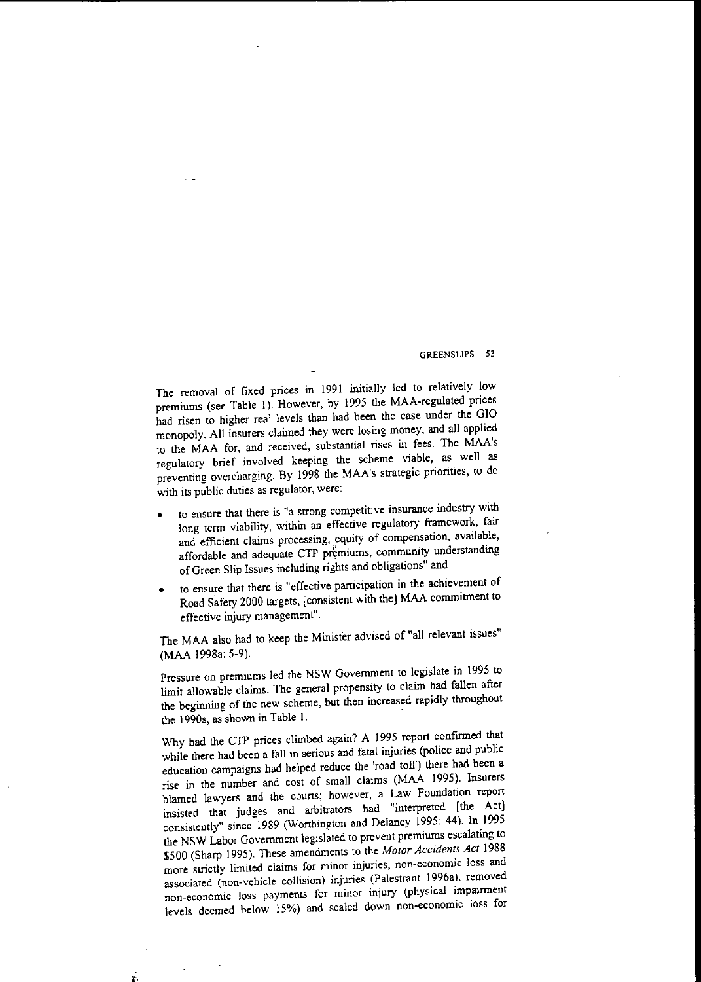The removal of fixed prices in 1991 initially led to relatively low premiums (see Table I). However, by 1995 the MAA-regulated prices had risen to higher real levels than had been the case under the GIO monopoly. All insurers claimed they were losing money, and all applied to the MAA for, and received, substantial rises in fees. The MAA's regulatory brief involved keeping the scheme viable, as well as preventing overcharging. By 1998 the MAA's strategic priorities, to do with its public duties as regulator, were:

- **• to ensure that there is "a strong competitive insurance industry with** long term viability, within an effective regulatory framework, fair **and efficient claims processing, equity of compensation, available,** affordable and adequate CTP premiums, community understanding ofGreen Slip Issues including rights and obligations" and
- **• to ensure that there is <sup>11</sup> effective participation in the achievement of** Road Safety 2000 targets, [consistent with the] MAA commitment to effective injury management".

The MAA also had to keep the Minister advised of "all relevant issues" (MAA 1998a: 5-9).

Pressure on premiums led the NSW Government to legislate in 1995 to limit allowable claims. The general propensity to claim had fallen after the beginning of the new scheme, but then increased rapidly throughout the I990s, as shown in Table L

Why had the CTP prices climbed again? A 1995 report confirmed that while there had been a fall in serious and fatal injuries (police and public education campaigns had helped reduce the 'road toll') there had been a rise in the number and cost of small claims (MAA 1995). Insurers blamed lawyers and the courts; however, a Law Foundation report insisted that judges and arbitrators had "interpreted [the Act] consistently" since 1989 (Wortbington and Delaney 1995: 44). In 1995 the NSW Labor Govemment legislated to prevent premiums escalating to \$500 (Sharp 1995). These amendments to the *Motor Accidents Act 1988* **more strictly limited claims for minor injuries, non-economic loss and** associated (non-vehicle collision) injuries (Palestrant 1996a), removed **non-economic loss payments for minor injury (physical impairment** levels deemed below 15%) and scaled down non-economic loss for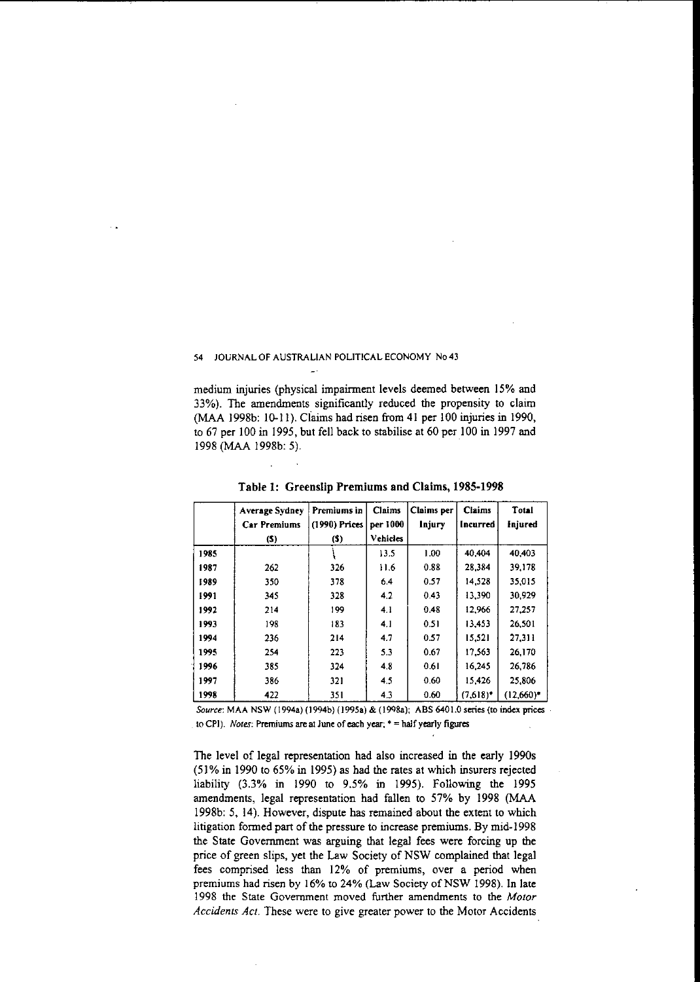medium injuries (physical impairment levels deemed between 15% and 33%). The amendments significantly reduced the propensity to claim (MAA 1998b: IQ-II). Claims had risen from 41 per 100 injuries in 1990, to  $67$  per  $100$  in 1995, but fell back to stabilise at  $60$  per  $100$  in 1997 and 1998 (MAA 1998b: 5).

|      | Average Sydney<br><b>Car Premiums</b><br>$(5)$ | Premiums in<br>(1990) Prices<br>(5) | <b>Claims</b><br>per 1000<br><b>Vehicles</b> | Claims per<br>Injury | <b>Claims</b><br><b>Incurred</b> | Total<br>Injured |
|------|------------------------------------------------|-------------------------------------|----------------------------------------------|----------------------|----------------------------------|------------------|
| 1985 |                                                |                                     | 13.5                                         | 1.00                 | 40.404                           | 40.403           |
| 1987 | 262                                            | 326                                 | 11.6                                         | 0.88                 | 28.384                           | 39.178           |
| 1989 | 350                                            | 378                                 | 6.4                                          | 0.57                 | 14.528                           | 35.015           |
| 1991 | 345                                            | 328                                 | 4.2                                          | 0.43                 | 13.390                           | 30.929           |
| 1992 | 214                                            | 199                                 | 4.1                                          | 0.48                 | 12,966                           | 27.257           |
| 1993 | 198                                            | 183                                 | 4.1                                          | 0.51                 | 13.453                           | 26.501           |
| 1994 | 236                                            | 214                                 | 4.7                                          | 0.57                 | 15.521                           | 27.311           |
| 1995 | 254                                            | 223                                 | 5.3                                          | 0.67                 | 17,563                           | 26.170           |
| 1996 | 385                                            | 324                                 | 4.8                                          | 0.61                 | 16,245                           | 26.786           |
| 1997 | 386                                            | 321                                 | 4.5                                          | 0.60                 | 15.426                           | 25.806           |
| 1998 | 422                                            | 351                                 | 4.3                                          | 0.60                 | $(7,618)$ <sup>*</sup>           | $(12,660)^*$     |

Table 1: Greenslip Premiums and Claims, 1985-1998

*Source:* **MAA NSW** (I 994a) (I 994b) **(19958) & (I9Q8a); ABS 6401.0 senes (to mdex pnces to CPI).** *Notes:* **Premiums are at June of each year; • ::::** half yearly **figures**

The level of legal representation had also increased in the early 1990s (51% in 1990 to 65% in 1995) as had the rates at which insurers rejected liability (3.3% in 1990 to 9,5% in 1995). Following the 1995 amendments, legal representation had fallen to 57% by 1998 (MAA 1998b: 5, 14). However, dispute has remained about the extent to which litigation formed part of the pressure to increase premiums. By mid-1998 the State Government was arguing that legal fees were forcing up the price of green slips, yet the Law Society of NSW complained that legal fees comprised less than 12% of premiums, over a period when premiums had risen by 16% to 24% (Law Society of NSW 1998), In late 1998 the State Government moved further amendments to the *Motor Accidents Act.* These were to give greater power to the Motor Accidents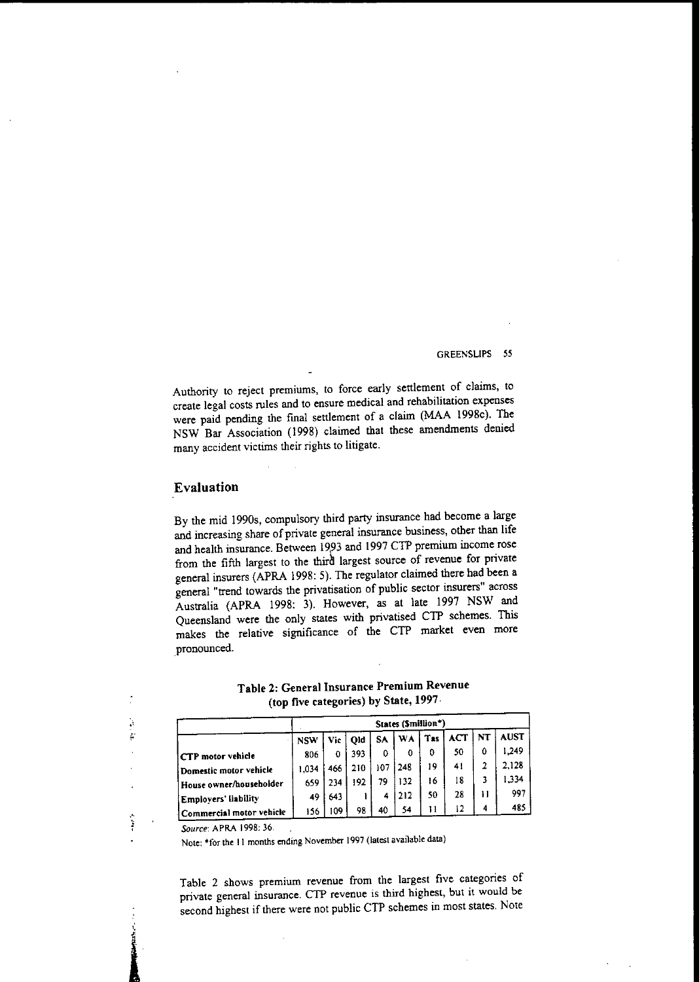Authority to reject premiums, to force early settlement of claims, to create legal costs rules and to ensure medical and rehabilitation expenses were paid pending the fmal settlement of a claim (MAA 1998c). The NSW Bar Association (1998) claimed that these amendments denied **many accident victims their rights to litigate.**

## **Evaluation**

By the mid 1990s, compulsory third party insurance had become a large and increasing share of private general insurance business, other than life and health insurance. Between 1993 and 1997 CTP premium income rose from the fifth largest to the third largest source of revenue for private general insurers (APRA 1998: 5). The regulator claimed there had been a general "trend towards the privatisation of public sector insurers" across Australia (APRA 1998: 3). However, as at late 1997 NSW and Queensland were the only states with privatised CTP schemes. This makes the relative significance of the CTP market even more pronounced.

|                          | States (Smillion*) |     |     |     |           |                 |            |           |             |
|--------------------------|--------------------|-----|-----|-----|-----------|-----------------|------------|-----------|-------------|
|                          | <b>NSW</b>         | Vic | Old | SA. | <b>WA</b> | T <sub>as</sub> | <b>ACT</b> | <b>NT</b> | <b>AUST</b> |
| CTP motor vehicle        | 806                | o   | 393 | 0   | 0         | 0               | 50         | 0         | 1,249       |
| Domestic motor vehicle   | 1.034              | 466 | 210 | 107 | 248       | 19              | 41         |           | 2.128       |
| House owner/householder  | 659                | 234 | 192 | 79  | 132       | 16              | 18         |           | 334         |
| Employers' liability     | 49                 | 643 |     | 4   | 212       | 50              | 28         | 11        | 997         |
| Commercial motor vehicle | 156                | 109 | 98  | 40  | 54        | 11              | 12         | 4         | 485         |

Table 2: General Insurance Premium Revenue (top five categories) by State, 1997·

*Source:* **APRA 1998: 36.**

1

þ į.

 $\frac{1}{2}$ 

**Note: \*for the 11 months ending November 1997 (latest available data)**

**Table 2 shows premium revenue from the largest five categories of private general insurance. CTP revenue is third highest, but it would be** second highest if there were not public CTP schemes in most states, Note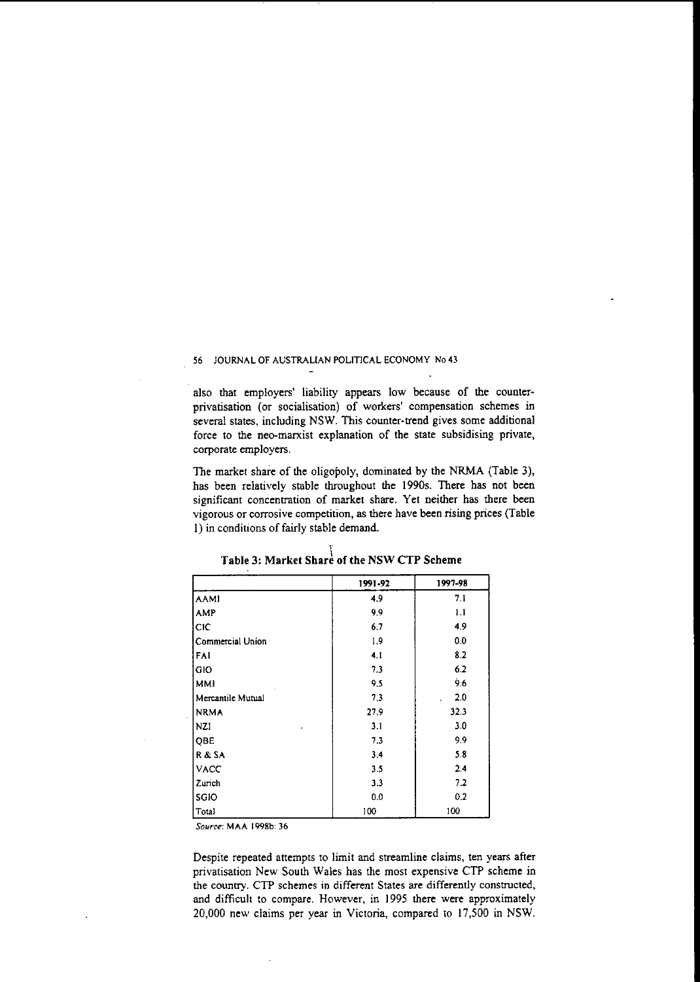also that employers' liability appears low because of the counterprivatisation (or socialisation) of workers' compensation schemes in several states, including NSW. This counter-trend gives some additional force to the neo-marxist explanation of **the** state subsidising private, corporate employers.

The market share of the oligopoly, dominated by the NRMA (Table 3), has been relatively stable throughout the I990s. There has not been significant concentration of market share. Yet neither has there been vigorous or corrosive competition, as there have been rising prices (Table 1) in conditions of fairly stable demand.

|                   | 1991-92 | 1997-98 |
|-------------------|---------|---------|
| AAMI              | 4.9     | 7.1     |
| <b>AMP</b>        | 9.9     | 1.1     |
| CIC               | 6.7     | 4.9     |
| Commercial Union  | 1.9     | 0.0     |
| FAI               | 4.1     | 8.2     |
| <b>GIO</b>        | 7.3     | 6.2     |
| <b>MMI</b>        | 9.5     | 9.6     |
| Mercantile Mutual | 7.3     | 2.0     |
| <b>NRMA</b>       | 27.9    | 32.3    |
| NZI               | 3.1     | 3.0     |
| QBE               | 7.3     | 9.9     |
| R & SA            | 3.4     | 5.8     |
| <b>VACC</b>       | 3.5     | 2.4     |
| Zurich            | 3.3     | 7.2     |
| SGIO              | 0.0     | 0.2     |
| Total             | 100     | 100     |

\ **Table 3: Market Share of the NSW CTP Scheme**

*Source:* **MAA 1998b: 36**

Despite repeated attempts to limit and streamline claims, ten years after privatisation New South Wales has the most expensive CTP scheme in **the country. CTP schemes in different States are differently constructed,** and difficult to compare. However, in 1995 there were approximately 20,000 new claims per year in Victoria, compared to 17,500 in NSW.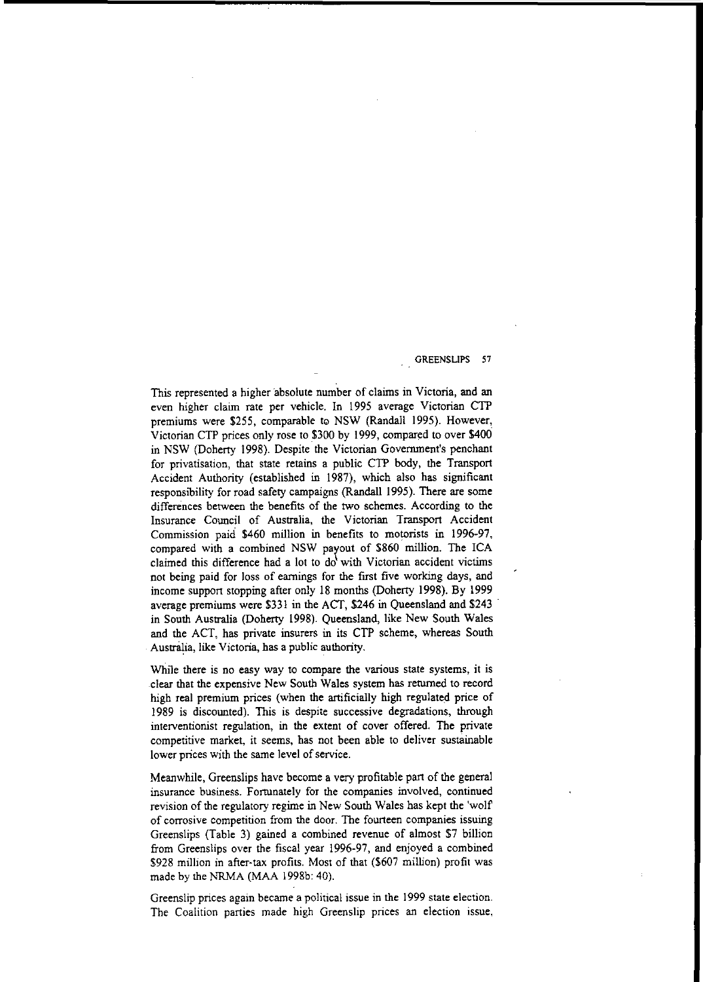This represented a higher absolute number of claims in Victoria, and an even higher claim rate per vehicle. In 1995 average Victorian CTP premiums were \$255, comparable to NSW (Randall 1995). However, Victorian CTP prices only rose to \$300 by 1999, compared to over \$400 in NSW (Doherty 1998). Despite the Victorian Government's penchant for privatisation, that state retains a public CTP body, the Transport Accident Authority (established in 1987), which also has significant responsibility for road safety campaigns (Randall 1995). There are some differences between the benefits of the two schemes. According to the Insurance Council of Australia, the Victorian Transport Accident Commission paid \$460 million in benefits to motorists in 1996-97, compared with a combined NSW payout of \$860 million. The ICA claimed this difference had a lot to  $d\sigma'$  with Victorian accident victims not being paid for loss of earnings for the first five working days, and income support stopping after only 18 months (Doherty 1998). By 1999 average premiums were \$331 in the ACT, \$246 in Queensland and \$243 ' in South Australia (Doherty 1998). Queensland, like New South Wales and the ACT, has private insurers in its CTP scheme, whereas South Australia, like Victoria, has a public authority.

While there is no easy way to compare the various state systems, it is clear that the expensive New South Wales system has returned to record high real premium prices (when the artificially high regulated price of 1989 is discounted). This is despite successive degradations, through interventionist regulation, in the extent of cover offered. The private competitive market, it seems, has not been able to deliver sustainable lower prices with the same level of service.

Meanwhile, Greenslips have become a very profitable part of the general **insurance business. Fortunately for the companies involved, continued** revision of the regulatory regime in New South Wales has kept the 'wolf **of corrosive competition from the door. The fourteen companies issuing** Greenslips (Table 3) gained a combined revenue of almost \$7 billion from Greenslips over the fiscal year 1996-97, and enjoyed a combined \$928 million in after-tax profits. Most of that (\$607 million) profit was made by the NRMA (MAA 1998b: 40).

Greenslip prices again became a political issue in the 1999 state election. The Coalition parties made high Greenslip prices an election issue,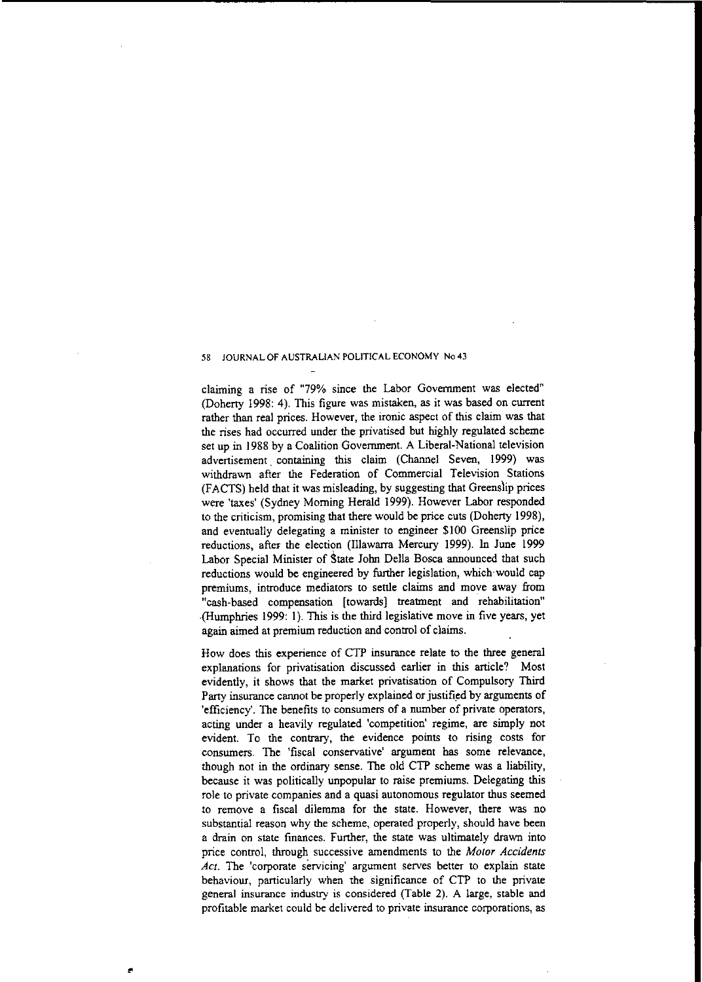claiming a rise of "79% since the Labar Government was elected" (Doherty 1998: 4). This figure was mistaken, as it was based on current rather than real prices. However, the ironic aspect of this claim was that the rises had occurred under the privatised but highly regulated scheme set up in 1988 by a Coalition Govemment. A Liberal-National television advertisement containing this claim (Channel Seven, 1999) was withdrawn after the Federation of Commercial Television Stations (FACTS) held that it was misleading, by suggesting that Greenslip prices were 'taxes' (Sydney Morning Herald 1999). However Labor responded to the criticism, promising that there would be price cuts (Doherty 1998), and eventually delegating a minister to engineer \$100 Greenslip price reductions, after the election (Illawarra Mercury 1999). In June 1999 Labor Special Minister of State John Della Bosca announced that such reductions would be engineered by further legislation, which would cap premiums, introduce mediators to settle claims and move away from "cash-based compensation [towards] treatment and rehabilitation" ·(Humphries 1999: I). This is the third legislative move in five years, yet again aimed at premium reduction and control of claims.

How does this experience of CTP insurance relate to the three general explanations for privatisation discussed earlier in this article? Most evidently, it shows that the market privatisation of Compulsory Third Party insurance cannot be properly explained or justified by arguments of 'efficiency'. The benefits to consumers of a number of private operators, acting under a heavily regulated 'competition' regime, are simply not evident. To the contrary, the evidence points to rising costs for consumers. The 'fiscal conservative' argument has some relevance, though not in the ordinary sense. The old CTP scheme was a liability, because it was politically unpopular to raise premiums. Delegating this role to private companies and a quasi autonomous regulator thus seemed to remove a fiscal dilemma for the state. However, there was no substantial reason why the scheme, operated properly, should have been a drain on state finances. Further, the state was ultimately drawn into price control, through successive amendments to the *Motor Accidents Act.* The 'corporate servicing' argument serves better to explain state behaviour, particularly when the significance of CTP to the private general insurance industry is considered (Table 2). A large, stable and profitable market could be delivered to private insurance corporations, as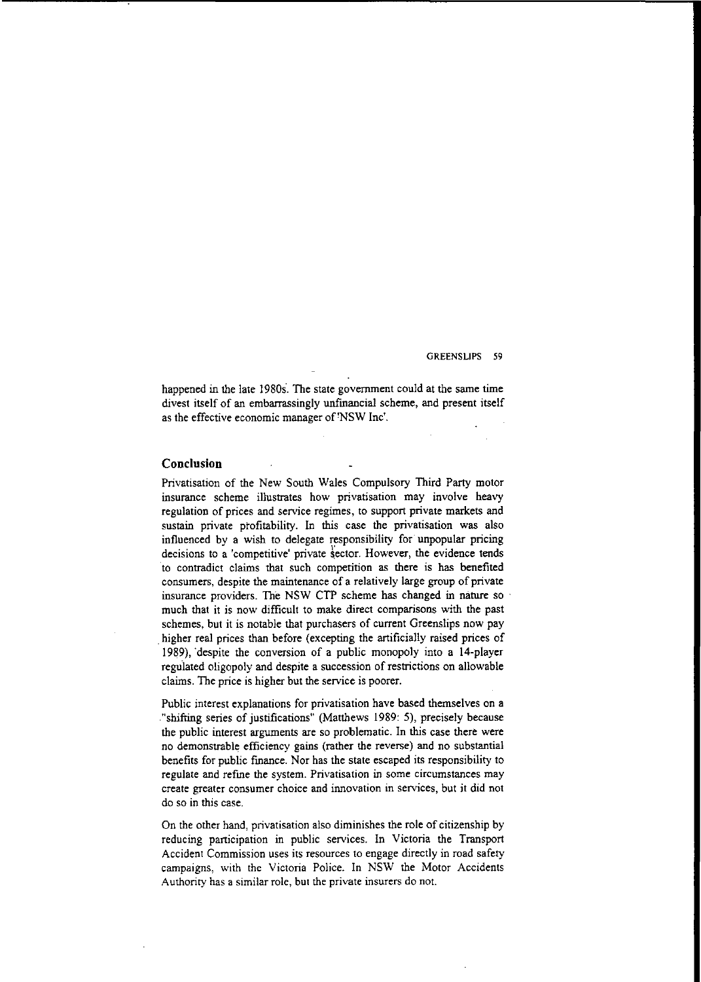happened in the late 19808. The state government could at the same time divest itself of an embarrassingly unfinancial scheme, and present itself as the effective economic manager of 'NSW Inc'.

### **Conclusion**

Privatisation of the New South Wales Compulsory Third Party motor insurance scheme illustrates how privatisation may involve heavy regulation of prices and service regimes, to support private markets and sustain private profitability. In this case the privatisation was also influenced by a wish to delegate responsibility for unpopular pricing **decisions to a 'competitive' private \$ector. However, the evidence tends** to contradict claims that such competition as there is has benefited consumers, despite the maintenance of a relatively large group of private insurance providers. The NSW CTP scheme has changed in nature so . much that it is now difficult to make direct comparisons with the past schemes, but it is notable that purchasers of current Greenslips now pay higher real prices than before (excepting the artificially raised prices of 1989), 'despite the conversion of a public monopoly into a 14-player regulated oligopoly and despite a succession of restrictions on allowable claims. The price is higher but the service is poorer.

Public interest explanations for privatisation have based themselves on a ."shifting series of justifications" (Matthews 1989: 5), precisely because the public interest arguments are so problematic. In this case there were no demonstrable efficiency gains (rather the reverse) and no substantial benefits for public fmance. Nor has the state escaped its responsibility to  $re$  **gulate** and  $ref$  **ine** the system. Privatisation in some circumstances may **create greater consumer choice and innovation in services, but it did not do so in this case.**

On the other hand, privatisation also diminishes the role of citizenship by reducing participation in public services. In Victoria the Transport Accident Commission uses its resources to engage directly in road safety campaigns, with the Victoria Police. In NSW the Motor Accidents **Authority has a similar role, but the private insurers do not.**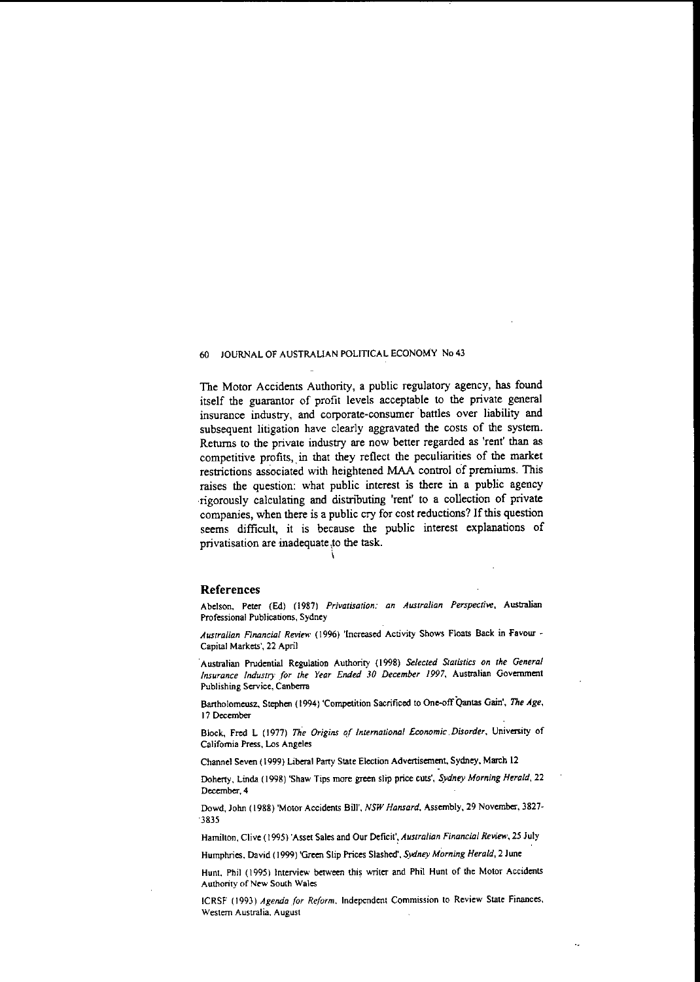The Motor Accidents Authority, a public regulatory agency, has found itself the guarantor of profit levels acceptable to the private general insurance industry, and corporate-consumer battles over liability and subsequent litigation have clearly aggravated the costs of the system. Returns to the private industry are now better regarded as 'rent' than as competitive profits, in that they reflect the peculiarities of the market restrictions associated with heightened MAA control of premiums. This raises the question: what public interest is there in a public agency -rigorously calculating and distributing 'rent' to a collection of private companies, when there is a public cry for cost reductions? If this question seems difficult, it is because the public interest explanations of privatisation are inadequate ;to the task. i

#### References

**Abelson, Peter (Ed) (1987)** *Privatisation: an Australian Perspective,* **Austntlian Professional Publications, Sydney**

*Australian FifUlncial Review* **(1996) 'Increased Activity Shows Floats Back in Favour Capital Markets', 22 April**

**Australian Prudential Regulation Authority (1998)** *Selected Statistics on the General Insurance Industry for the Year Ended 30 December 1997,* **Austntlian Government Publishing Service, Canberra**

**Bartholomeusz, Stephen (1994) 'Competition Sacrificed to One-offQantas Gain',** *The Age,* 17 Deoembe<

**Block, Fred L (1977)** *The Origins of International Economic* ,*Disorder,* **University of California Press, Los Angeles**

**Channel Seven (1999) Liberal Party State Election Advertisement, Sydney, March 12**

**Doherty, Linda (1998) 'Shaw Tips more green slip price cuts',** *Sydney Morning Herald, 22* December, 4

**Dowd. John (1988) 'Motor Accidents Bill',** *NSW Hansard.* **Assembly, 29 November,** 3827~ 3835

**Hamilton, Clive (1995) 'Asset Sales and Our** Deficit'~ *Australian Financial Review,* **25 July**

**Humphries. David (1999) 'Green Slip Prices Slashed',** *Sydney Morning Herald,* **2 June**

**Hunt. Phil** (1995) Interview between this writer and Phil Hunt of the Motor Accidents **Authority of New South Wales**

**ICRSF (1993)** *Agenda for Reform.* **Independent Commission to Review State Finances, Western Australia. August**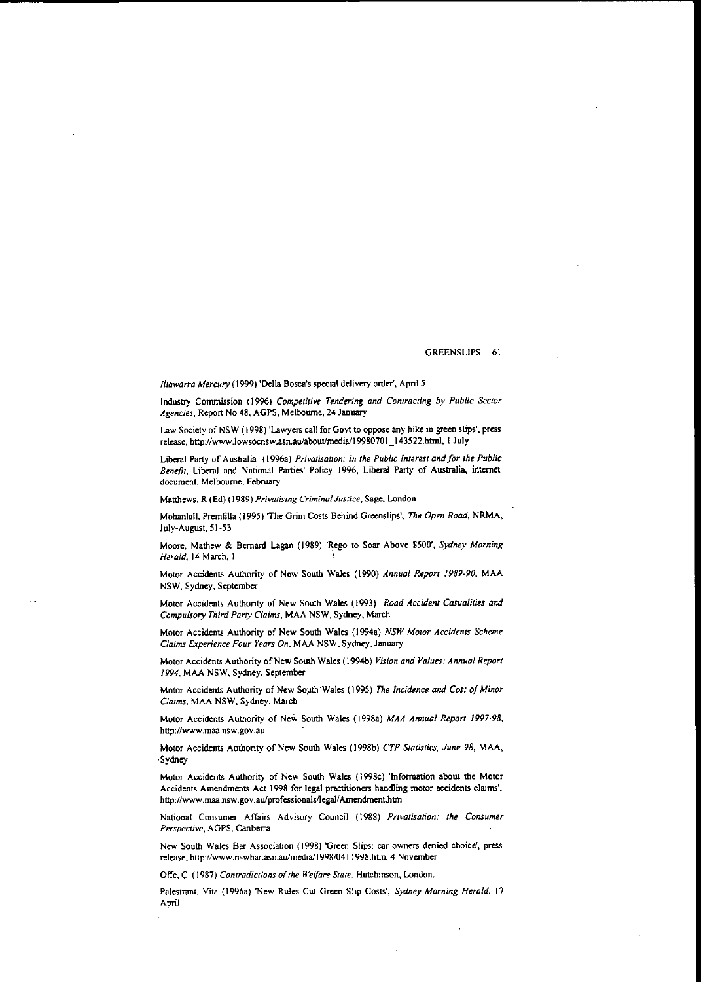*Illawarra Mercury* (1999) 'Delta Bosca's special delivery order', April 5

Industry Commission (1996) *Competitive Tendering and Contracting by Public Sector Agencies,* Report No 48. AGPS, Melbourne, 24 January

Law Society of NSW (1998) 'Lawyers call for Govt to oppose any hike in green slips'. press release, http://www.lowsocnsw.asn.au/about/media/19980701\_143522.html, I July

Liberal Party of Australia (l996a) *Privatisation: in the Public Interest andfor the Public* Benefit, Liberal and National Parties' Policy 1996, Liberal Party of Australia, internet document. Melbourne. February

Matthews, R (Ed) (1989) *Privatising Criminal Justice,* Sage. London

Mohanlall. Premlilla (1995) 'The Grim Costs Behind Greenslips" *The Open Road,* NRMA. July-August. 5I-53

Maore. Mathew & Bemard Lagan (1989) 'Rego to Soar Above \$500', *Sydney Morning Herald.* 14 March. I \

Motor Accidents Authority of New South Wales (1990) *Annual Report 1989·90.* MAA NSW. Sydney. September

Motor Accidents Authority of New South Wales (1993) *Road Accident Casualities and Compulsory Third Party Claims.* MAA NSW. Sydney. March

Motor Accidents Authority of New South Wales (l994a) *NSW Motor Accidents Scheme Claims Experience Four Years On.* MAA NSW. Sydney. January

Motor Accidents Authority of New South Wales (1994b) Vision and Values: Annual Report *1994.* MAA NSW, Sydney. September

Motor Accidents Authority of New South Wales (1995) The Incidence and Cost of Minor *Claims.* MAA NSW. Sydney. March

Motor Accidents Authority of New South Wales (1998a) *MAA Annual Report 1997·98.* http://www.maa.nsw.gov.au

Motor Accidents Authority of New South Wales (1998b) *CTP Statistics, June 98*, MAA, Sydney

Motor Accidents Authority of New South Wales. (1998c) 'Information about the Motor Accidents Amendments Act 1998 for legal practitioners handling motor accidents claims', http://www.maa.nsw.gov.au/professionals/legal/Amendment.htm

National Consumer Affairs Advisory Council (1988) *Privatisation: the Consumer Perspective.* AGPS. Canberra

New South Wales Bar Association (1998) 'Green Slips: car owners denied choice', press release. http://www.nswbar.asn.au/media/1998/0411998.htm. 4 November

Offe. C. (1987) *Contradictions of the Welfare State*, Hutchinson, London.

Palestrant. Vita (1996a) 'New Rules Cut Green Slip Costs', *Sydney Morning Herald,* 17 April